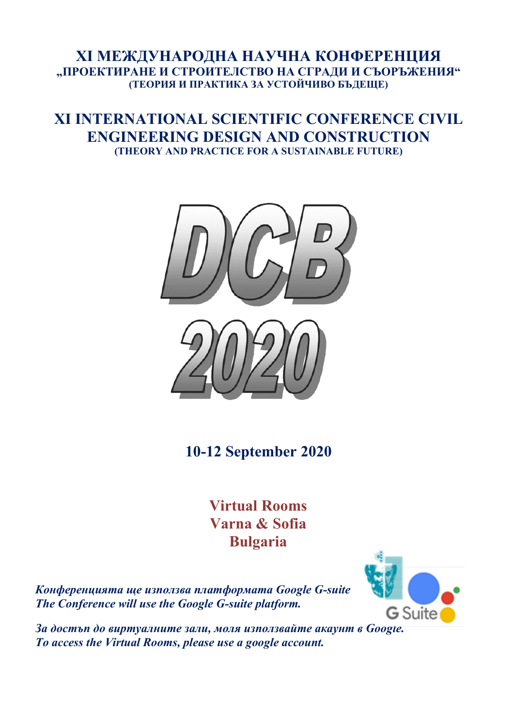## **ХI МЕЖДУНАРОДНА НАУЧНА КОНФЕРЕНЦИЯ "ПРОЕКТИРАНЕ И СТРОИТЕЛСТВО НА СГРАДИ И СЪОРЪЖЕНИЯ" (ТЕОРИЯ И ПРАКТИКА ЗА УСТОЙЧИВО БЪДЕЩЕ)**

## **ХI INTERNATIONAL SCIENTIFIC CONFERENCE CIVIL ENGINEERING DESIGN AND CONSTRUCTION (THEORY AND PRACTICE FOR A SUSTAINABLE FUTURE)**



**10-12 September 2020** 

**Virtual Rooms Varna & Sofia Bulgaria** 

*Конференцията ще използва платформата Google G-suite The Conference will use the Google G-suite platform.* 



*За достъп до виртуалните зали, моля използвайте акаунт в Google. To access the Virtual Rooms, please use a google account.*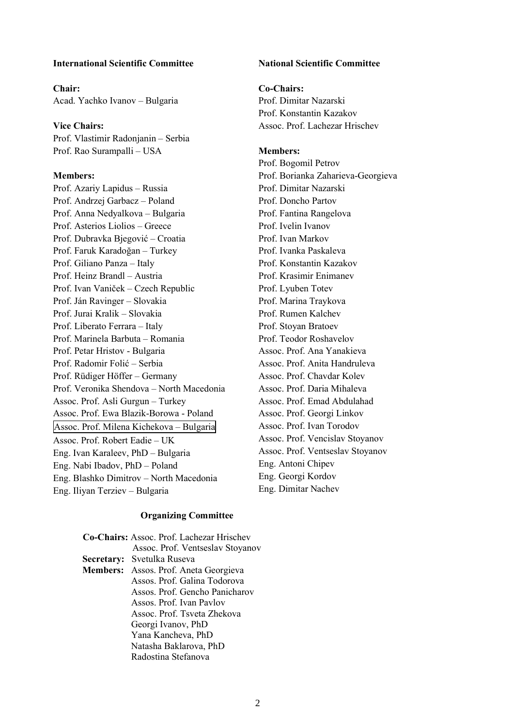### **International Scientific Committee**

**Chair:**  Acad. Yachko Ivanov – Bulgaria

**Vice Chairs:**  Prof. Vlastimir Radonjanin – Serbia Prof. Rao Surampalli – USA

#### **Members:**

Prof. Azariy Lapidus – Russia Prof. Andrzej Garbacz – Poland Prof. Anna Nedyalkova – Bulgaria Prof. Asterios Liolios – Greece Prof. Dubravka Bjegović – Croatia Prof. Faruk Karadoğan – Turkey Prof. Giliano Panza – Italy Prof. Heinz Brandl – Austria Prof. Ivan Vaniček – Czech Republic Prof. Ján Ravinger – Slovakia Prof. Jurai Kralik – Slovakia Prof. Liberato Ferrara – Italy Prof. Marinela Barbuta – Romania Prof. Petar Hristov - Bulgaria Prof. Radomir Folić – Serbia Prof. Rüdiger Höffer – Germany Prof. Veronika Shendova – North Macedonia Assoc. Prof. Asli Gurgun – Turkey Assoc. Prof. Ewa Blazik-Borowa - Poland Assoc. Prof. Milena Kichekova – Bulgaria Assoc. Prof. Robert Eadie – UK Eng. Ivan Karaleev, PhD – Bulgaria Eng. Nabi Ibadov, PhD – Poland Eng. Blashko Dimitrov – North Macedonia Eng. Iliyan Terziev – Bulgaria

## **National Scientific Committee**

## **Co-Chairs:**

Prof. Dimitar Nazarski Prof. Konstantin Kazakov Assoc. Prof. Lachezar Hrischev

#### **Members:**

Prof. Bogomil Petrov Prof. Borianka Zaharieva-Georgieva Prof. Dimitar Nazarski Prof. Doncho Partov Prof. Fantina Rangelova Prof. Ivelin Ivanov Prof. Ivan Markov Prof. Ivanka Paskaleva Prof. Konstantin Kazakov Prof. Krasimir Enimanev Prof. Lyuben Totev Prof. Marina Traykova Prof. Rumen Kalchev Prof. Stoyan Bratoev Prof. Teodor Roshavelov Assoc. Prof. Ana Yanakieva Assoc. Prof. Anita Handruleva Assoc. Prof. Chavdar Kolev Assoc. Prof. Daria Mihaleva Assoc. Prof. Emad Abdulahad Assoc. Prof. Georgi Linkov Assoc. Prof. Ivan Torodov Assoc. Prof. Vencislav Stoyanov Assoc. Prof. Ventseslav Stoyanov Eng. Antoni Chipev Eng. Georgi Kordov Eng. Dimitar Nachev

#### **Organizing Committee**

| Co-Chairs: Assoc. Prof. Lachezar Hrischev |                                       |  |  |  |
|-------------------------------------------|---------------------------------------|--|--|--|
|                                           | Assoc. Prof. Ventseslav Stoyanov      |  |  |  |
|                                           | Secretary: Svetulka Ruseva            |  |  |  |
|                                           | Members: Assos. Prof. Aneta Georgieva |  |  |  |
|                                           | Assos. Prof. Galina Todorova          |  |  |  |
|                                           | Assos. Prof. Gencho Panicharov        |  |  |  |
|                                           | Assos. Prof. Ivan Paylov              |  |  |  |
|                                           | Assoc. Prof. Tsyeta Zhekova           |  |  |  |
|                                           | Georgi Ivanov, PhD                    |  |  |  |
|                                           | Yana Kancheva, PhD                    |  |  |  |
|                                           | Natasha Baklarova, PhD                |  |  |  |
|                                           | Radostina Stefanova                   |  |  |  |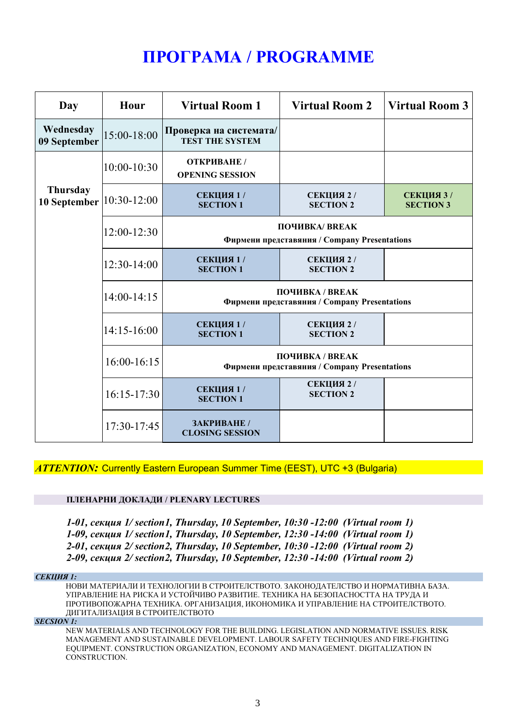# **ПРОГРАМА / PROGRAMME**

| Day                             | Hour            | <b>Virtual Room 1</b>                                           | <b>Virtual Room 2</b>          | Virtual Room 3                 |
|---------------------------------|-----------------|-----------------------------------------------------------------|--------------------------------|--------------------------------|
| Wednesday<br>09 September       | 15:00-18:00     | Проверка на системата/<br><b>TEST THE SYSTEM</b>                |                                |                                |
|                                 | $10:00 - 10:30$ | ОТКРИВАНЕ /<br><b>OPENING SESSION</b>                           |                                |                                |
| <b>Thursday</b><br>10 September | 10:30-12:00     | СЕКЦИЯ 1 /<br><b>SECTION 1</b>                                  | СЕКЦИЯ 2 /<br><b>SECTION 2</b> | СЕКЦИЯ 3 /<br><b>SECTION 3</b> |
|                                 | 12:00-12:30     | ПОЧИВКА/ BREAK<br>Фирмени представяния / Company Presentations  |                                |                                |
|                                 | 12:30-14:00     | СЕКЦИЯ 1/<br><b>SECTION 1</b>                                   | СЕКЦИЯ 2 /<br><b>SECTION 2</b> |                                |
|                                 | $14:00-14:15$   | ПОЧИВКА / BREAK<br>Фирмени представяния / Company Presentations |                                |                                |
|                                 | $14:15-16:00$   | СЕКЦИЯ 1 /<br><b>SECTION 1</b>                                  | СЕКЦИЯ 2 /<br><b>SECTION 2</b> |                                |
|                                 | $16:00-16:15$   | ПОЧИВКА / BREAK<br>Фирмени представяния / Company Presentations |                                |                                |
|                                 | $16:15-17:30$   | СЕКЦИЯ 1/<br><b>SECTION 1</b>                                   | СЕКЦИЯ 2 /<br><b>SECTION 2</b> |                                |
|                                 | 17:30-17:45     | ЗАКРИВАНЕ /<br><b>CLOSING SESSION</b>                           |                                |                                |

*ATTENTION:* Currently Eastern European Summer Time (EEST), UTC +3 (Bulgaria)

## **ПЛЕНАРНИ ДОКЛАДИ / PLENARY LECTURES**

*1-01, секция 1/ section1, Thursday, 10 September, 10:30 -12:00 (Virtual room 1) 1-09, секция 1/ section1, Thursday, 10 September, 12:30 -14:00 (Virtual room 1) 2-01, секция 2/ section2, Thursday, 10 September, 10:30 -12:00 (Virtual room 2) 2-09, секция 2/ section2, Thursday, 10 September, 12:30 -14:00 (Virtual room 2)* 

#### *СЕКЦИЯ 1:*

НОВИ МАТЕРИАЛИ И ТЕХНОЛОГИИ В СТРОИТЕЛСТВОТО. ЗАКОНОДАТЕЛСТВО И НОРМАТИВНА БАЗА. УПРАВЛЕНИЕ НА РИСКА И УСТОЙЧИВО РАЗВИТИЕ. ТЕХНИКА НА БЕЗОПАСНОСТТА НА ТРУДА И ПРОТИВОПОЖАРНА ТЕХНИКА. ОРГАНИЗАЦИЯ, ИКОНОМИКА И УПРАВЛЕНИЕ НА СТРОИТЕЛСТВОТО. ДИГИТАЛИЗАЦИЯ В СТРОИТЕЛСТВОТО

#### *SECSION 1:*

NEW MATERIALS AND TECHNOLOGY FOR THE BUILDING. LEGISLATION AND NORMATIVE ISSUES. RISK MANAGEMENT AND SUSTAINABLE DEVELOPMENT. LABOUR SAFETY TECHNIQUES AND FIRE-FIGHTING EQUIPMENT. CONSTRUCTION ORGANIZATION, ECONOMY AND MANAGEMENT. DIGITALIZATION IN CONSTRUCTION.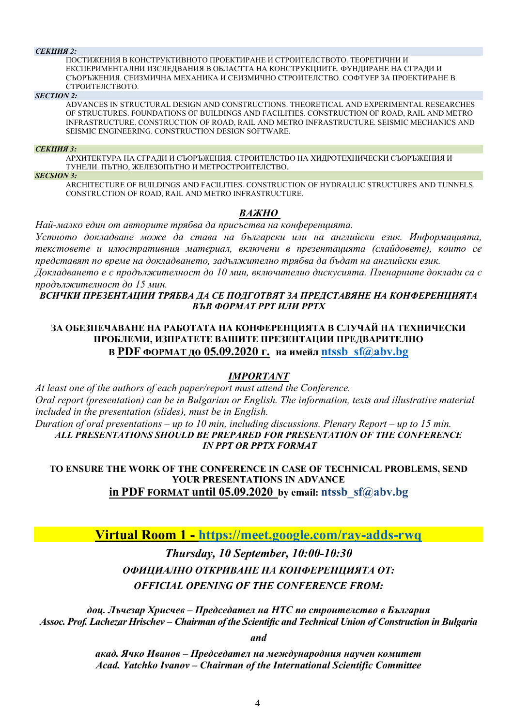#### *СЕКЦИЯ 2:*

ПОСТИЖЕНИЯ В КОНСТРУКТИВНОТО ПРОЕКТИРАНЕ И СТРОИТЕЛСТВОТО. ТЕОРЕТИЧНИ И ЕКСПЕРИМЕНТАЛНИ ИЗСЛЕДВАНИЯ В ОБЛАСТТА НА КОНСТРУКЦИИТЕ. ФУНДИРАНЕ НА СГРАДИ И СЪОРЪЖЕНИЯ. СЕИЗМИЧНА МЕХАНИКА И СЕИЗМИЧНО СТРОИТЕЛСТВО. СОФТУЕР ЗА ПРОЕКТИРАНЕ В СТРОИТЕЛСТВОТО.

#### *SECTION 2:*

ADVANCES IN STRUCTURAL DESIGN AND CONSTRUCTIONS. THEORETICAL AND EXPERIMENTAL RESEARCHES OF STRUCTURES. FOUNDATIONS OF BUILDINGS AND FACILITIES. CONSTRUCTION OF ROAD, RAIL AND METRO INFRASTRUCTURE. CONSTRUCTION OF ROAD, RAIL AND METRO INFRASTRUCTURE. SEISMIC MECHANICS AND SEISMIC ENGINEERING. CONSTRUCTION DESIGN SOFTWARE.

#### *СЕКЦИЯ 3:*

АРХИТЕКТУРА НА СГРАДИ И СЪОРЪЖЕНИЯ. СТРОИТЕЛСТВО НА ХИДРОТЕХНИЧЕСКИ СЪОРЪЖЕНИЯ И ТУНЕЛИ. ПЪТНО, ЖЕЛЕЗОПЪТНО И МЕТРОСТРОИТЕЛСТВО.

#### *SECSION 3:*

ARCHITECTURE OF BUILDINGS AND FACILITIES. CONSTRUCTION OF HYDRAULIC STRUCTURES AND TUNNELS. CONSTRUCTION OF ROAD, RAIL AND METRO INFRASTRUCTURE.

## *ВАЖНО*

*Най-малко един от авторите трябва да присъства на конференцията.* 

*Устното докладване може да става на български или на английски език. Информацията, текстовете и илюстративния материал, включени в презентацията (слайдовете), които се представят по време на докладването, задължително трябва да бъдат на английски език. Докладването е с продължителност до 10 мин, включително дискусията. Пленарните доклади са с* 

*продължителност до 15 мин.* 

### *ВСИЧКИ ПРЕЗЕНТАЦИИ ТРЯБВА ДА СЕ ПОДГОТВЯТ ЗА ПРЕДСТАВЯНЕ НА КОНФЕРЕНЦИЯТА ВЪВ ФОРМАТ PPT ИЛИ PPTX*

## **ЗА ОБЕЗПЕЧАВАНЕ НА РАБОТАТА НА КОНФЕРЕНЦИЯТА В СЛУЧАЙ НА ТЕХНИЧЕСКИ ПРОБЛЕМИ, ИЗПРАТЕТЕ ВАШИТЕ ПРЕЗЕНТАЦИИ ПРЕДВАРИТЕЛНО В PDF ФОРМАТ до 05.09.2020 г. на имейл ntssb\_sf@abv.bg**

## *IMPORTANT*

*At least one of the authors of each paper/report must attend the Conference. Oral report (presentation) can be in Bulgarian or English. The information, texts and illustrative material included in the presentation (slides), must be in English. Duration of oral presentations – up to 10 min, including discussions. Plenary Report – up to 15 min. ALL PRESENTATIONS SHOULD BE PREPARED FOR PRESENTATION OF THE CONFERENCE IN PPT OR PPTX FORMAT*

**TO ENSURE THE WORK OF THE CONFERENCE IN CASE OF TECHNICAL PROBLEMS, SEND YOUR PRESENTATIONS IN ADVANCE in PDF FORMAT until 05.09.2020 by email: ntssb\_sf@abv.bg**

**Virtual Room 1 - https://meet.google.com/ray-adds-rwq**

*Thursday, 10 September, 10:00-10:30 ОФИЦИАЛНО ОТКРИВАНЕ НА КОНФЕРЕНЦИЯТА ОТ: OFFICIAL OPENING OF THE CONFERENCE FROM:* 

*доц. Лъчезар Хрисчев – Председател на НТС по строителство в България Assoc. Prof. Lachezar Hrischev – Chairman of the Scientific and Technical Union of Construction in Bulgaria* 

*and* 

*акад. Ячко Иванов – Председател на международния научен комитет Acad. Yatchko Ivanov – Chairman of the International Scientific Committee*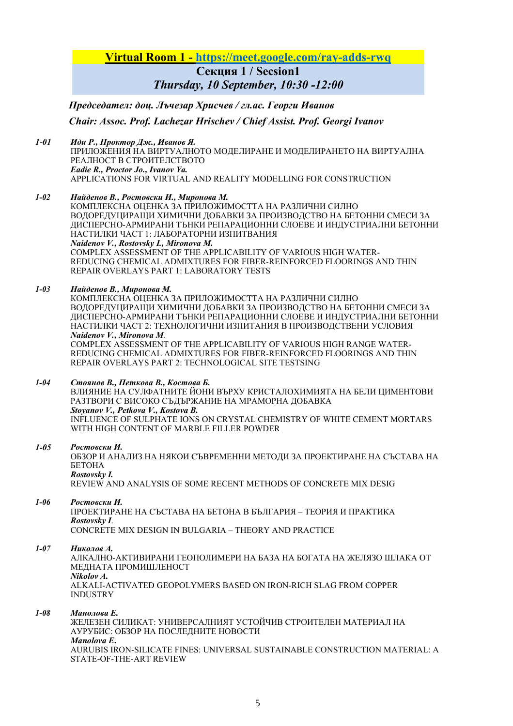## **Virtual Room 1 - https://meet.google.com/ray-adds-rwq**

**Секция 1 / Secsion1**

*Thursday, 10 September, 10:30 -12:00*

 *Председател: доц. Лъчезар Хрисчев / гл.ас. Георги Иванов Chair: Assoc. Prof. Lachezar Hrischev / Chief Assist. Prof. Georgi Ivanov*

#### *1-01 Иди Р., Проктор Дж., Иванов Я.*

ПРИЛОЖЕНИЯ НА ВИРТУАЛНОТО МОДЕЛИРАНЕ И МОДЕЛИРАНЕТО НА ВИРТУАЛНА РЕАЛНОСТ В СТРОИТЕЛСТВОТО *Eadie R., Proctor Jo., Ivanov Ya.*  APPLICATIONS FOR VIRTUAL AND REALITY MODELLING FOR CONSTRUCTION

#### *1-02 Найденов В., Ростовски И., Миронова М.*

КОМПЛЕКСНА ОЦЕНКА ЗА ПРИЛОЖИМОСТТА НА РАЗЛИЧНИ СИЛНО ВОЛОРЕЛУШИРАЩИ ХИМИЧНИ ЛОБАВКИ ЗА ПРОИЗВОЛСТВО НА БЕТОННИ СМЕСИ ЗА ДИСПЕРСНО-АРМИРАНИ ТЪНКИ РЕПАРАЦИОННИ СЛОЕВЕ И ИНДУСТРИАЛНИ БЕТОННИ НАСТИЛКИ ЧАСТ 1: ЛАБОРАТОРНИ ИЗПИТВАНИЯ *Naidenov V., Rostovsky I., Mironova M.*  COMPLEX ASSESSMENT OF THE APPLICABILITY OF VARIOUS HIGH WATER-REDUCING CHEMICAL ADMIXTURES FOR FIBER-REINFORCED FLOORINGS AND THIN REPAIR OVERLAYS PART 1: LABORATORY TESTS

#### *1-03 Найденов В., Миронова М.*

КОМПЛЕКСНА ОЦЕНКА ЗА ПРИЛОЖИМОСТТА НА РАЗЛИЧНИ СИЛНО ВОДОРЕДУЦИРАЩИ ХИМИЧНИ ДОБАВКИ ЗА ПРОИЗВОДСТВО НА БЕТОННИ СМЕСИ ЗА ДИСПЕРСНО-АРМИРАНИ ТЪНКИ РЕПАРАЦИОННИ СЛОЕВЕ И ИНДУСТРИАЛНИ БЕТОННИ НАСТИЛКИ ЧАСТ 2: ТЕХНОЛОГИЧНИ ИЗПИТАНИЯ В ПРОИЗВОДСТВЕНИ УСЛОВИЯ *Naidenov V., Mironova M.* 

COMPLEX ASSESSMENT OF THE APPLICABILITY OF VARIOUS HIGH RANGE WATER-REDUCING CHEMICAL ADMIXTURES FOR FIBER-REINFORCED FLOORINGS AND THIN REPAIR OVERLAYS PART 2: TECHNOLOGICAL SITE TESTSING

#### *1-04 Стоянов В., Петкова В., Костова Б.*

ВЛИЯНИЕ НА СУЛФАТНИТЕ ЙОНИ ВЪРХУ КРИСТАЛОХИМИЯТА НА БЕЛИ ЦИМЕНТОВИ РАЗТВОРИ С ВИСОКО СЪДЪРЖАНИЕ НА МРАМОРНА ДОБАВКА *Stoyanov V., Petkova V., Kostova B.*  INFLUENCE OF SULPHATE IONS ON CRYSTAL CHEMISTRY OF WHITE CEMENT MORTARS WITH HIGH CONTENT OF MARBLE FILLER POWDER

#### *1-05 Ростовски И.*

ОБЗОР И АНАЛИЗ НА НЯКОИ СЪВРЕМЕННИ МЕТОДИ ЗА ПРОЕКТИРАНЕ НА СЪСТАВА НА БЕТОНА *Rostovsky I.* 

REVIEW AND ANALYSIS OF SOME RECENT METHODS OF CONCRETE MIX DESIG

### *1-06 Ростовски И.*

ПРОЕКТИРАНЕ НА СЪСТАВА НА БЕТОНА В БЪЛГАРИЯ – ТЕОРИЯ И ПРАКТИКА *Rostovsky I*. CONCRETE MIX DESIGN IN BULGARIA – THEORY AND PRACTICE

#### *1-07 Николов А.*

АЛКАЛНО-АКТИВИРАНИ ГЕОПОЛИМЕРИ НА БАЗА НА БОГАТА НА ЖЕЛЯЗО ШЛАКА ОТ МЕДНАТА ПРОМИШЛЕНОСТ *Nikolov A.*  ALKALI-ACTIVATED GEOPOLYMERS BASED ON IRON-RICH SLAG FROM COPPER INDUSTRY

#### *1-08 Манолова Е.*

ЖЕЛЕЗЕН СИЛИКАТ: УНИВЕРСАЛНИЯТ УСТОЙЧИВ СТРОИТЕЛЕН МАТЕРИАЛ НА АУРУБИС: ОБЗОР НА ПОСЛЕДНИТЕ НОВОСТИ *Manolova E***.**  AURUBIS IRON-SILICATE FINES: UNIVERSAL SUSTAINABLE CONSTRUCTION MATERIAL: A STATE-OF-THE-ART REVIEW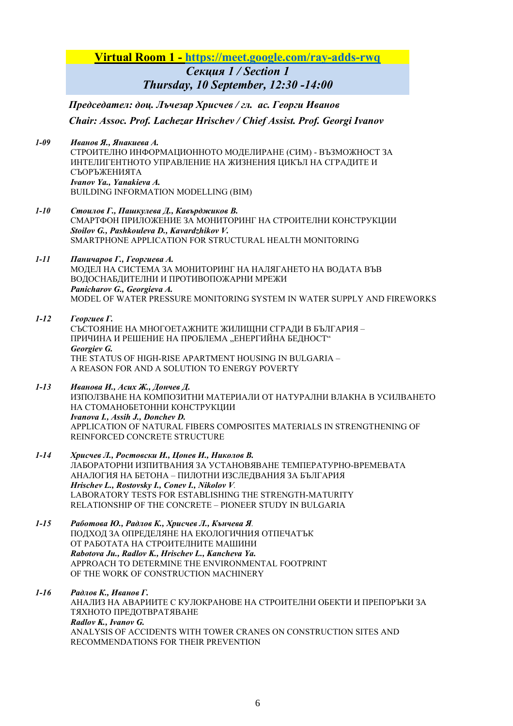## **Virtual Room 1 - https://meet.google.com/ray-adds-rwq** *Секция 1 / Section 1*

## *Thursday, 10 September, 12:30 -14:00*

 *Председател: доц. Лъчезар Хрисчев / гл. ас. Георги Иванов Chair: Assoc. Prof. Lachezar Hrischev / Chief Assist. Prof. Georgi Ivanov*

*1-09 Иванов Я., Янакиева А.*  СТРОИТЕЛНО ИНФОРМАЦИОННОТО МОДЕЛИРАНЕ (СИМ) - ВЪЗМОЖНОСТ ЗА ИНТЕЛИГЕНТНОТО УПРАВЛЕНИЕ НА ЖИЗНЕНИЯ ЦИКЪЛ НА СГРАДИТЕ И СЪОРЪЖЕНИЯТА *Ivanov Ya., Yanakieva A.*  BUILDING INFORMATION MODELLING (BIM)

- *1-10 Стоилов Г., Пашкулева Д., Кавърджиков В.* СМАРТФОН ПРИЛОЖЕНИЕ ЗА МОНИТОРИНГ НА СТРОИТЕЛНИ КОНСТРУКЦИИ *Stoilov G., Pashkouleva D., Kavardzhikov V.*  SMARTPHONE APPLICATION FOR STRUCTURAL HEALTH MONITORING
- *1-11 Паничаров Г., Георгиева А.*  МОДЕЛ НА СИСТЕМА ЗА МОНИТОРИНГ НА НАЛЯГАНЕТО НА ВОДАТА ВЪВ ВОДОСНАБДИТЕЛНИ И ПРОТИВОПОЖАРНИ МРЕЖИ *Panicharov G., Georgieva A.*  MODEL OF WATER PRESSURE MONITORING SYSTEM IN WATER SUPPLY AND FIREWORKS

#### *1-12 Георгиев Г.*  СЪСТОЯНИЕ НА МНОГОЕТАЖНИТЕ ЖИЛИЩНИ СГРАДИ В БЪЛГАРИЯ – ПРИЧИНА И РЕШЕНИЕ НА ПРОБЛЕМА "ЕНЕРГИЙНА БЕДНОСТ" *Georgiev G.*  THE STATUS OF HIGH-RISE APARTMENT HOUSING IN BULGARIA – A REASON FOR AND A SOLUTION TO ENERGY POVERTY

*1-13 Иванова И., Асих Ж., Дончев Д.*  ИЗПОЛЗВАНЕ НА КОМПОЗИТНИ МАТЕРИАЛИ ОТ НАТУРАЛНИ ВЛАКНА В УСИЛВАНЕТО НА СТОМАНОБЕТОННИ КОНСТРУКЦИИ *Ivanova I., Assih J., Donchev D.*  APPLICATION OF NATURAL FIBERS COMPOSITES MATERIALS IN STRENGTHENING OF REINFORCED CONCRETE STRUCTURE

- *1-14 Хрисчев Л., Ростовски И., Цонев И., Николов В.*  ЛАБОРАТОРНИ ИЗПИТВАНИЯ ЗА УСТАНОВЯВАНЕ ТЕМПЕРАТУРНО-ВРЕМЕВАТА АНАЛОГИЯ НА БЕТОНА – ПИЛОТНИ ИЗСЛЕДВАНИЯ ЗА БЪЛГАРИЯ *Hrischev L., Rostovsky I., Conev I., Nikolov V.*  LABORATORY TESTS FOR ESTABLISHING THE STRENGTH-MATURITY RELATIONSHIP OF THE CONCRETE – PIONEER STUDY IN BULGARIA
- *1-15 Работова Ю., Радлов К., Хрисчев Л., Кънчева Я.*  ПОДХОД ЗА ОПРЕДЕЛЯНЕ НА ЕКОЛОГИЧНИЯ ОТПЕЧАТЪК ОТ РАБОТАТА НА СТРОИТЕЛНИТЕ МАШИНИ *Rabotova Ju., Radlov K., Hrischev L., Kancheva Ya.*  APPROACH TO DETERMINE THE ENVIRONMENTAL FOOTPRINT OF THE WORK OF CONSTRUCTION MACHINERY

#### *1-16 Радлов К., Иванов Г.*  АНАЛИЗ НА АВАРИИТЕ С КУЛОКРАНОВЕ НА СТРОИТЕЛНИ ОБЕКТИ И ПРЕПОРЪКИ ЗА ТЯХНОТО ПРЕДОТВРАТЯВАНЕ *Radlov K., Ivanov G.*  ANALYSIS OF ACCIDENTS WITH TOWER CRANES ON CONSTRUCTION SITES AND RECOMMENDATIONS FOR THEIR PREVENTION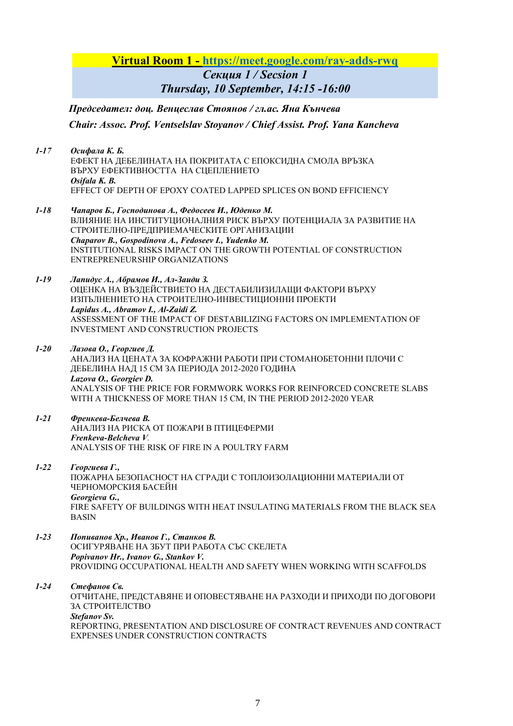**Virtual Room 1 - https://meet.google.com/ray-adds-rwq**

*Секция 1 / Secsion 1 Thursday, 10 September, 14:15 -16:00*

 *Председател: доц. Венцеслав Стоянов / гл.ас. Яна Кънчева Chair: Assoc. Prof. Ventselslav Stoyanov / Chief Assist. Prof. Yana Kancheva*

- *1-17 Осифала К. Б.*  ЕФЕКТ НА ДЕБЕЛИНАТА НА ПОКРИТATA С ЕПОКСИДНА СМОЛА ВРЪЗКА ВЪРХУ ЕФЕКТИВНОСТТА НА СЦЕПЛЕНИЕТО *Osifala K. B.*  EFFECT OF DEPTH OF EPOXY COATED LAPPED SPLICES ON BOND EFFICIENCY
- *1-18 Чапаров Б., Господинова А., Федосеев И., Юденко М.*  ВЛИЯНИЕ НА ИНСТИТУЦИОНАЛНИЯ РИСК ВЪРХУ ПОТЕНЦИАЛА ЗА РАЗВИТИЕ НА СТРОИТЕЛНО-ПРЕДПРИЕМАЧЕСКИТЕ ОРГАНИЗАЦИИ *Chaparov B., Gospodinova A., Fedoseev I., Yudenko M.*  INSTITUTIONAL RISKS IMPACT ON THE GROWTH POTENTIAL OF CONSTRUCTION ENTREPRENEURSHIP ORGANIZATIONS
- *1-19 Лапидус А., Абрамов И., Ал-Заиди З.*  ОЦЕНКА НА ВЪЗДЕЙСТВИЕТО НА ДЕСТАБИЛИЗИЛАЩИ ФАКТОРИ ВЪРХУ ИЗПЪЛНЕНИЕТО НА СТРОИТЕЛНО-ИНВЕСТИЦИОННИ ПРОЕКТИ *Lapidus A., Abramov I., Al-Zaidi Z.*  ASSESSMENT OF THE IMPACT OF DESTABILIZING FACTORS ON IMPLEMENTATION OF INVESTMENT AND CONSTRUCTION PROJECTS
- *1-20 Лазова О., Георгиев Д.*  АНАЛИЗ НА ЦЕНАТА ЗА КОФРАЖНИ РАБОТИ ПРИ СТОМАНОБЕТОННИ ПЛОЧИ С ДЕБЕЛИНА НАД 15 CM ЗА ПЕРИОДА 2012-2020 ГОДИНА *Lazova O., Georgiev D.*  ANALYSIS OF THE PRICE FOR FORMWORK WORKS FOR REINFORCED CONCRETE SLABS WITH A THICKNESS OF MORE THAN 15 CM, IN THE PERIOD 2012-2020 YEAR
- *1-21 Френкева-Белчева В.*  АНАЛИЗ НА РИСКА ОТ ПОЖАРИ В ПТИЦЕФЕРМИ *Frenkeva-Belcheva V.*  ANALYSIS OF THE RISK OF FIRE IN A POULTRY FARM
- *1-22 Георгиева Г.,*  ПОЖАРНА БЕЗОПАСНОСТ НА СГРАДИ С ТОПЛОИЗОЛАЦИОННИ МАТЕРИАЛИ ОТ ЧЕРНОМОРСКИЯ БАСЕЙН *Georgieva G.,*  FIRE SAFETY OF BUILDINGS WITH HEAT INSULATING MATERIALS FROM THE BLACK SEA BASIN
- *1-23 Попиванов Хр., Иванов Г., Станков В.*  ОСИГУРЯВАНЕ НА ЗБУТ ПРИ РАБОТА СЪС СКЕЛЕТА *Popivanov Hr., Ivanov G., Stankov V.*  PROVIDING OCCUPATIONAL HEALTH AND SAFETY WHEN WORKING WITH SCAFFOLDS

*1-24 Стефанов Св.*  ОТЧИТАНЕ, ПРЕДСТАВЯНЕ И ОПОВЕСТЯВАНЕ НА РАЗХОДИ И ПРИХОДИ ПО ДОГОВОРИ ЗА СТРОИТЕЛСТВО *Stefanov Sv.*  REPORTING, PRESENTATION AND DISCLOSURE OF CONTRACT REVENUES AND CONTRACT EXPENSES UNDER CONSTRUCTION CONTRACTS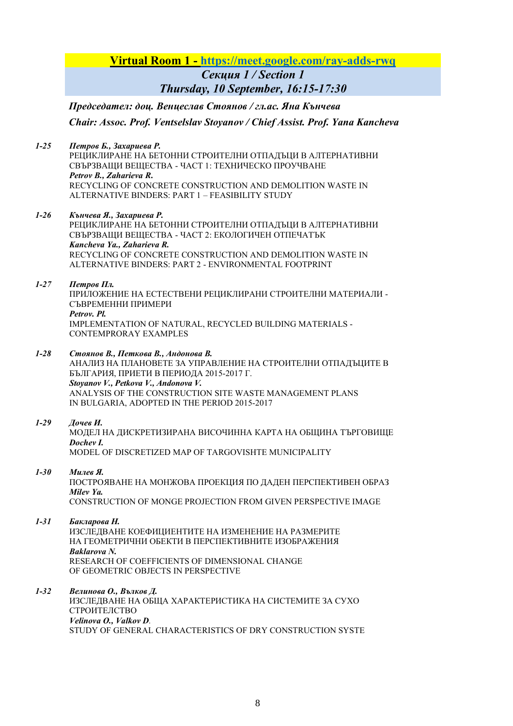## **Virtual Room 1 - https://meet.google.com/ray-adds-rwq**

*Секция 1 / Section 1 Thursday, 10 September, 16:15-17:30* 

 *Председател: доц. Венцеслав Стоянов / гл.ас. Яна Кънчева Chair: Assoc. Prof. Ventselslav Stoyanov / Chief Assist. Prof. Yana Kancheva*

*1-25 Петров Б., Захариева Р.* 

РЕЦИКЛИРАНЕ НА БЕТОННИ СТРОИТЕЛНИ ОТПАДЪЦИ В АЛТЕРНАТИВНИ СВЪРЗВАЩИ ВЕЩЕСТВА - ЧАСТ 1: ТЕХНИЧЕСКО ПРОУЧВАНЕ *Petrov B., Zaharieva R***.**  RECYCLING OF CONCRETE CONSTRUCTION AND DEMOLITION WASTE IN ALTERNATIVE BINDERS: PART 1 – FEASIBILITY STUDY

#### *1-26 Кънчева Я., Захариева Р.*

РЕЦИКЛИРАНЕ НА БЕТОННИ СТРОИТЕЛНИ ОТПАДЪЦИ В АЛТЕРНАТИВНИ СВЪРЗВАЩИ ВЕЩЕСТВА - ЧАСТ 2: ЕКОЛОГИЧЕН ОТПЕЧАТЪК *Kancheva Ya., Zaharieva R.*  RECYCLING OF CONCRETE CONSTRUCTION AND DEMOLITION WASTE IN ALTERNATIVE BINDERS: PART 2 - ENVIRONMENTAL FOOTPRINT

#### *1-27 Петров Пл.*

ПРИЛОЖЕНИЕ НА ЕСТЕСТВЕНИ РЕЦИКЛИРАНИ СТРОИТЕЛНИ МАТЕРИАЛИ - СЪВРЕМЕННИ ПРИМЕРИ *Petrov. Pl.*  IMPLEMENTATION OF NATURAL, RECYCLED BUILDING MATERIALS - CONTEMPRORAY EXAMPLES

*1-28 Стоянов В., Петкова В., Андонова В.* 

АНАЛИЗ НА ПЛАНОВЕТЕ ЗА УПРАВЛЕНИЕ НА СТРОИТЕЛНИ ОТПАДЪЦИТЕ В БЪЛГАРИЯ, ПРИЕТИ В ПЕРИОДА 2015-2017 Г. *Stoyanov V., Petkova V., Andonova V.*  ANALYSIS OF THE CONSTRUCTION SITE WASTE MANAGEMENT PLANS IN BULGARIA, ADOPTED IN THE PERIOD 2015-2017

#### *1-29 Дочев И.* МОДЕЛ НА ДИСКРЕТИЗИРАНА ВИСОЧИННА КАРТА НА ОБЩИНА ТЪРГОВИЩЕ

*Dochev I.*  MODEL OF DISCRETIZED MAP OF TARGOVISHTE MUNICIPALITY

## *1-30 Милев Я.*

ПОСТРОЯВАНЕ НА МОНЖОВА ПРОЕКЦИЯ ПО ДАДЕН ПЕРСПЕКТИВЕН ОБРАЗ *Milev Ya.*  CONSTRUCTION OF MONGE PROJECTION FROM GIVEN PERSPECTIVE IMAGE

## *1-31 Бакларова Н.*

ИЗСЛЕДВАНЕ КОЕФИЦИЕНТИТЕ НА ИЗМЕНЕНИЕ НА РАЗМЕРИТЕ НА ГЕОМЕТРИЧНИ ОБЕКТИ В ПЕРСПЕКТИВНИТЕ ИЗОБРАЖЕНИЯ *Baklarova N.*  RESEARCH OF COEFFICIENTS OF DIMENSIONAL CHANGE OF GEOMETRIC OBJECTS IN PERSPECTIVE

#### *1-32 Велинова О., Вълков Д.*  ИЗСЛЕДВАНЕ НА ОБЩА ХАРАКТЕРИСТИКА НА СИСТЕМИТЕ ЗА СУХО СТРОИТЕЛСТВО *Velinova O., Valkov D.*  STUDY OF GENERAL CHARACTERISTICS OF DRY CONSTRUCTION SYSTE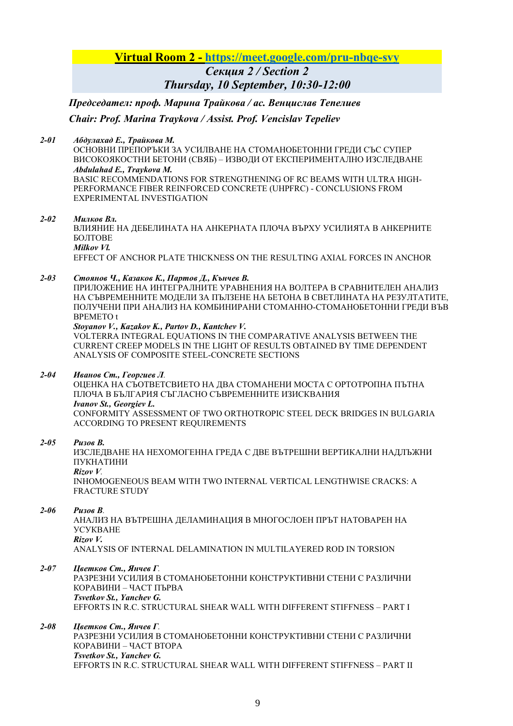## **Virtual Room 2 - https://meet.google.com/pru-nbqe-svy** *Секция 2 / Section 2 Thursday, 10 September, 10:30-12:00*

 *Председател: проф. Марина Трайкова / ас. Венцислав Тепелиев* 

## *Chair: Prof. Marina Traykova / Assist. Prof. Vencislav Tepeliev*

*2-01 Абдулахад Е., Трайкова М.* 

ОСНОВНИ ПРЕПОРЪКИ ЗА УСИЛВАНЕ НА СТОМАНОБЕТОННИ ГРЕДИ СЪС СУПЕР ВИСОКОЯКОСТНИ БЕТОНИ (СВЯБ) – ИЗВОДИ ОТ ЕКСПЕРИМЕНТАЛНО ИЗСЛЕДВАНЕ *Abdulahad E., Traykova M.* 

BASIC RECOMMENDATIONS FOR STRENGTHENING OF RC BEAMS WITH ULTRA HIGH-PERFORMANCE FIBER REINFORCED CONCRETE (UHPFRC) - CONCLUSIONS FROM EXPERIMENTAL INVESTIGATION

#### *2-02 Милков Вл.*

ВЛИЯНИЕ НА ДЕБЕЛИНАТА НА АНКЕРНАТА ПЛОЧА ВЪРХУ УСИЛИЯТА В АНКЕРНИТЕ БОЛТОВЕ *Milkov Vl.* 

EFFECT OF ANCHOR PLATE THICKNESS ON THE RESULTING AXIAL FORCES IN ANCHOR

#### *2-03 Стоянов Ч., Казаков К., Партов Д., Кънчев В.*

ПРИЛОЖЕНИЕ НА ИНТЕГРАЛНИТЕ УРАВНЕНИЯ НА ВОЛТЕРА В СРАВНИТЕЛЕН АНАЛИЗ НА СЪВРЕМЕННИТЕ МОДЕЛИ ЗА ПЪЛЗЕНЕ НА БЕТОНА В СВЕТЛИНАТА НА РЕЗУЛТАТИТЕ, ПОЛУЧЕНИ ПРИ АНАЛИЗ НА КОМБИНИРАНИ СТОМАННО-СТОМАНОБЕТОННИ ГРЕДИ ВЪВ ВРЕМЕТО t

#### *Stoyanov V., Kazakov K., Partov D., Kantchev V.*

VOLTERRA INTEGRAL EQUATIONS IN THE COMPARATIVE ANALYSIS BETWEEN THE CURRENT CREEP MODELS IN THE LIGHT OF RESULTS OBTAINED BY TIME DEPENDENT ANALYSIS OF COMPOSITE STEEL-CONCRETE SECTIONS

*2-04 Иванов Ст., Георгиев Л.* 

OЦЕНКА НА СЪОТВЕТСВИЕТО НА ДВА СТОМАНЕНИ МОСТА С ОРТОТРОПНА ПЪТНА ПЛОЧА В БЪЛГАРИЯ СЪГЛАСНО СЪВРЕМЕННИТЕ ИЗИСКВАНИЯ *Ivanov St., Georgiev L.*  CONFORMITY ASSESSMENT OF TWO ORTHOTROPIC STEEL DECK BRIDGES IN BULGARIA ACCORDING TO PRESENT REQUIREMENTS

*2-05 Ризов В.* 

ИЗСЛЕДВАНЕ НА НЕХОМОГЕННА ГРЕДА С ДВЕ ВЪТРЕШНИ ВЕРТИКАЛНИ НАДЛЪЖНИ ПУКНАТИНИ *Rizov V.*  INHOMOGENEOUS BEAM WITH TWO INTERNAL VERTICAL LENGTHWISE CRACKS: A FRACTURE STUDY

#### *2-06 Ризов В.*

АНАЛИЗ НА ВЪТРЕШНА ДЕЛАМИНАЦИЯ В МНОГОСЛОЕН ПРЪТ НАТОВАРЕН НА УСУКВАНЕ *Rizov V.* 

ANALYSIS OF INTERNAL DELAMINATION IN MULTILAYERED ROD IN TORSION

*2-07 Цветков Ст., Янчев Г.* 

РАЗРЕЗНИ УСИЛИЯ В СТОМАНОБЕТОННИ КОНСТРУКТИВНИ СТЕНИ С РАЗЛИЧНИ КОРАВИНИ – ЧАСТ ПЪРВА *Tsvetkov St., Yanchev G.* 

EFFORTS IN R.C. STRUCTURAL SHEAR WALL WITH DIFFERENT STIFFNESS – PART I

#### *2-08 Цветков Ст., Янчев Г.*  РАЗРЕЗНИ УСИЛИЯ В СТОМАНОБЕТОННИ КОНСТРУКТИВНИ СТЕНИ С РАЗЛИЧНИ КОРАВИНИ – ЧАСТ ВТОРА *Tsvetkov St., Yanchev G.*  EFFORTS IN R.C. STRUCTURAL SHEAR WALL WITH DIFFERENT STIFFNESS – PART II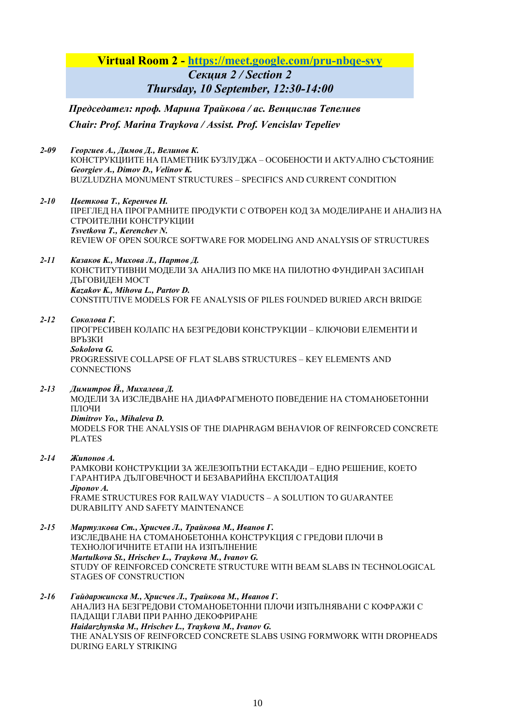## **Virtual Room 2 - https://meet.google.com/pru-nbqe-svy**

*Секция 2 / Section 2 Thursday, 10 September, 12:30-14:00* 

 *Председател: проф. Марина Трайкова / ас. Венцислав Тепелиев Chair: Prof. Marina Traykova / Assist. Prof. Vencislav Tepeliev*

- *2-09 Георгиев А., Димов Д., Велинов К.*  КОНСТРУКЦИИТЕ НА ПАМЕТНИК БУЗЛУДЖА – ОСОБЕНОСТИ И АКТУАЛНО СЪСТОЯНИЕ *Georgiev A., Dimov D., Velinov K.*  BUZLUDZHA MONUMENT STRUCTURES – SPECIFICS AND CURRENT CONDITION
- *2-10 Цветкова Т., Керенчев Н.*  ПРЕГЛЕД НА ПРОГРАМНИТЕ ПРОДУКТИ С ОТВОРЕН КОД ЗА МОДЕЛИРАНЕ И АНАЛИЗ НА СТРОИТЕЛНИ КОНСТРУКЦИИ *Tsvetkova T., Kerenchev N.*  REVIEW OF OPEN SOURCE SOFTWARE FOR MODELING AND ANALYSIS OF STRUCTURES
- *2-11 Казаков K., Михова Л., Партов Д.*  КОНСТИТУТИВНИ МОДЕЛИ ЗА АНАЛИЗ ПО МКЕ НА ПИЛОТНО ФУНДИРАН ЗАСИПАН ДЪГОВИДЕН МОСТ *Kazakov K., Mihova L., Partov D.*  CONSTITUTIVE MODELS FOR FE ANALYSIS OF PILES FOUNDED BURIED ARCH BRIDGE

## *2-12 Соколова Г.*

ПРОГРЕСИВЕН КОЛАПС НА БЕЗГРЕДОВИ КОНСТРУКЦИИ – КЛЮЧОВИ ЕЛЕМЕНТИ И ВРЪЗКИ *Sokolova G.* 

PROGRESSIVE COLLAPSE OF FLAT SLABS STRUCTURES – KEY ELEMENTS AND **CONNECTIONS** 

*2-13 Димитров Й., Михалева Д.* 

МОДЕЛИ ЗА ИЗСЛЕДВАНЕ НА ДИАФРАГМЕНОТО ПОВЕДЕНИЕ НА СТОМАНОБЕТОННИ ПЛОЧИ

*Dimitrov Yo., Mihaleva D.* 

MODELS FOR THE ANALYSIS OF THE DIAPHRAGM BEHAVIOR OF REINFORCED CONCRETE PLATES

*2-14 Жипонов А.* 

РАМКОВИ КОНСТРУКЦИИ ЗА ЖЕЛЕЗОПЪТНИ ЕСТАКАДИ – ЕДНО РЕШЕНИЕ, КОЕТО ГАРАНТИРА ДЪЛГОВЕЧНОСТ И БЕЗАВАРИЙНА ЕКСПЛОАТАЦИЯ *Jiponov A.*  FRAME STRUCTURES FOR RAILWAY VIADUCTS – A SOLUTION TO GUARANTEE DURABILITY AND SAFETY MAINTENANCE

*2-15 Мартулкова Ст., Хрисчев Л., Трайкова М., Иванов Г.*  ИЗСЛЕДВАНЕ НА СТОМАНОБЕТОННА КОНСТРУКЦИЯ С ГРЕДОВИ ПЛОЧИ В ТЕХНОЛОГИЧНИТЕ ЕТАПИ НА ИЗПЪЛНЕНИЕ *Martulkova St., Hrischev L., Traykova M., Ivanov G.* STUDY OF REINFORCED CONCRETE STRUCTURE WITH BEAM SLABS IN TECHNOLOGICAL STAGES OF CONSTRUCTION

*2-16 Гайдаржинска М., Хрисчев Л., Трайкова М., Иванов Г.* АНАЛИЗ НА БЕЗГРЕДОВИ СТОМАНОБЕТОННИ ПЛОЧИ ИЗПЪЛНЯВАНИ С КОФРАЖИ С ПАДАЩИ ГЛАВИ ПРИ РАННО ДЕКОФРИРАНЕ *Haidarzhynska M., Hrischev L., Traykova M., Ivanov G.*  THE ANALYSIS OF REINFORCED CONCRETE SLABS USING FORMWORK WITH DROPHEADS DURING EARLY STRIKING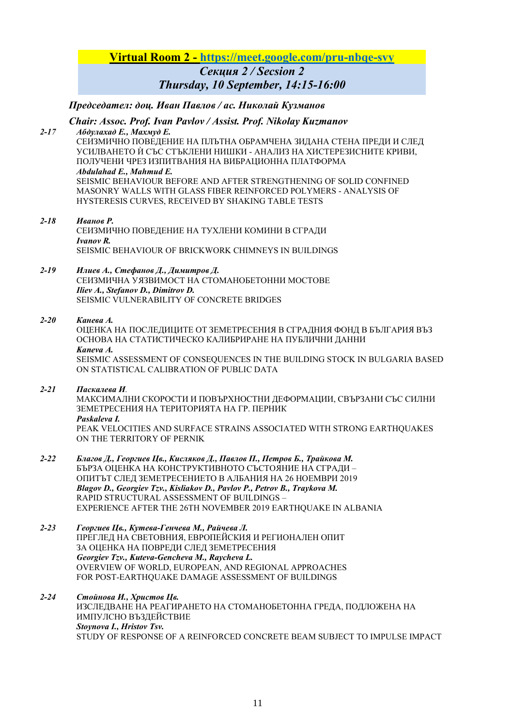## **Virtual Room 2 - https://meet.google.com/pru-nbqe-svy** *Секция 2 / Secsion 2 Thursday, 10 September, 14:15-16:00*

 *Председател: доц. Иван Павлов / ас. Николай Кузманов* 

# *Chair: Assoc. Prof. Ivan Pavlov / Assist. Prof. Nikolay Kuzmanov*

*2-17 Абдулахад Е., Махмуд Е.*  СЕИЗМИЧНО ПОВЕДЕНИЕ НА ПЛЪТНА ОБРАМЧЕНА ЗИДАНА СТЕНА ПРЕДИ И СЛЕД УСИЛВАНЕТО Ѝ СЪС СТЪКЛЕНИ НИШКИ - АНАЛИЗ НА ХИСТЕРЕЗИСНИТЕ КРИВИ, ПОЛУЧЕНИ ЧРЕЗ ИЗПИТВАНИЯ НА ВИБРАЦИОННА ПЛАТФОРМА *Abdulahad E., Mahmud E.*  SEISMIC BEHAVIOUR BEFORE AND AFTER STRENGTHENING OF SOLID CONFINED MASONRY WALLS WITH GLASS FIBER REINFORCED POLYMERS - ANALYSIS OF HYSTERESIS CURVES, RECEIVED BY SHAKING TABLE TESTS

#### *2-18 Иванов Р.*

СЕИЗМИЧНО ПОВЕДЕНИЕ НА ТУХЛЕНИ КОМИНИ В СГРАДИ *Ivanov R.*  SEISMIC BEHAVIOUR OF BRICKWORK CHIMNEYS IN BUILDINGS

#### *2-19 Илиев А., Стефанов Д., Димитров Д.*  СЕИЗМИЧНА УЯЗВИМОСТ НА СТОМАНОБЕТОННИ МОСТОВЕ *Iliev A., Stefanov D., Dimitrov D.*  SEISMIC VULNERABILITY OF CONCRETE BRIDGES

#### *2-20 Канева А.*

ОЦЕНКА НА ПОСЛЕДИЦИТЕ ОТ ЗЕМЕТРЕСЕНИЯ В СГРАДНИЯ ФОНД В БЪЛГАРИЯ ВЪЗ ОСНОВА НА СТАТИСТИЧЕСКО КАЛИБРИРАНЕ НА ПУБЛИЧНИ ДАННИ *Kaneva A.*  SEISMIC ASSESSMENT OF CONSEQUENCES IN THE BUILDING STOCK IN BULGARIA BASED ON STATISTICAL CALIBRATION OF PUBLIC DATA

#### *2-21 Паскалева И.*

МАКСИМАЛНИ СКОРОСТИ И ПОВЪРХНОСТНИ ДЕФОРМАЦИИ, СВЪРЗАНИ СЪС СИЛНИ ЗЕМЕТРЕСЕНИЯ НА ТЕРИТОРИЯТА НА ГР. ПЕРНИК *Paskaleva I.* PEAK VELOCITIES AND SURFACE STRAINS ASSOCIATED WITH STRONG EARTHQUAKES

ON THE TERRITORY OF PERNIK

- *2-22 Благов Д., Георгиев Цв., Кисляков Д., Павлов П., Петров Б., Трайкова М.*  БЪРЗА ОЦЕНКА НА КОНСТРУКТИВНОТО СЪСТОЯНИЕ НА СГРАДИ – ОПИТЪТ СЛЕД ЗЕМЕТРЕСЕНИЕТО В АЛБАНИЯ НА 26 НОЕМВРИ 2019 *Blagov D., Georgiev Tzv., Kisliakov D., Pavlov P., Petrov B., Traykova M.*  RAPID STRUCTURAL ASSESSMENT OF BUILDINGS – EXPERIENCE AFTER THE 26TH NOVEMBER 2019 EARTHQUAKE IN ALBANIA
- *2-23 Георгиев Цв., Кутева-Генчева М., Райчева Л.*  ПРЕГЛЕД НА СВЕТОВНИЯ, ЕВРОПЕЙСКИЯ И РЕГИОНАЛЕН ОПИТ ЗА ОЦЕНКА НА ПОВРЕДИ СЛЕД ЗЕМЕТРЕСЕНИЯ *Georgiev Tzv., Kuteva-Gencheva M., Raycheva L.*  OVERVIEW OF WORLD, EUROPEAN, AND REGIONAL APPROACHES FOR POST-EARTHQUAKE DAMAGE ASSESSMENT OF BUILDINGS

#### *2-24 Стойнова И., Христов Цв.*  ИЗСЛЕДВАНЕ НА РЕАГИРАНЕТО НА СТОМАНОБЕТОННА ГРЕДА, ПОДЛОЖЕНА НА ИМПУЛСНО ВЪЗДЕЙСТВИЕ *Stoynova I., Hristov Tsv.*  STUDY OF RESPONSE OF A REINFORCED CONCRETE BEAM SUBJECT TO IMPULSE IMPACT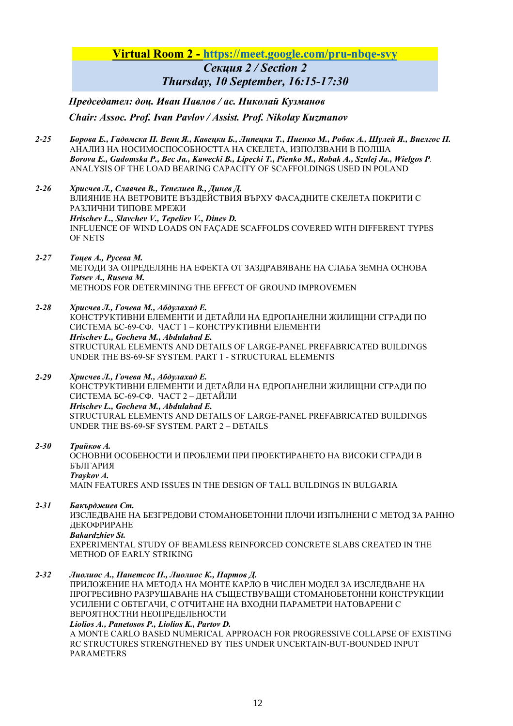## **Virtual Room 2 - https://meet.google.com/pru-nbqe-svy** *Секция 2 / Section 2 Thursday, 10 September, 16:15-17:30*

 *Председател: доц. Иван Павлов / ас. Николай Кузманов Chair: Assoc. Prof. Ivan Pavlov / Assist. Prof. Nikolay Kuzmanov*

- *2-25 Борова Е., Гадомска П. Венц Я., Кавецки Б., Липецки Т., Пиенко М., Робак А., Шулей Я., Виелгос П.*  АНАЛИЗ НА НОСИМОСПОСОБНОСТТА НА СКЕЛЕТА, ИЗПОЛЗВАНИ В ПОЛША *Borova E., Gadomska P., Bec Ja., Kawecki B., Lipecki T., Pienko M., Robak A., Szulej Ja., Wielgos P.*  ANALYSIS OF THE LOAD BEARING CAPACITY OF SCAFFOLDINGS USED IN POLAND
- *2-26 Хрисчев Л., Славчев В., Тепелиев В., Динев Д.*  ВЛИЯНИЕ НА ВЕТРОВИТЕ ВЪЗДЕЙСТВИЯ ВЪРХУ ФАСАДНИТЕ СКЕЛЕТА ПОКРИТИ С РАЗЛИЧНИ ТИПОВЕ МРЕЖИ *Hrischev L., Slavchev V., Tepeliev V., Dinev D.*  INFLUENCE OF WIND LOADS ON FAÇADE SCAFFOLDS COVERED WITH DIFFERENT TYPES OF NETS
- *2-27 Тоцев А., Русева М.*  МЕТОДИ ЗА ОПРЕДЕЛЯНЕ НА ЕФЕКТА ОТ ЗАЗДРАВЯВАНЕ НА СЛАБА ЗЕМНА ОСНОВА *Totsev A., Ruseva M.* METHODS FOR DETERMINING THE EFFECT OF GROUND IMPROVEMEN
- *2-28 Хрисчев Л., Гочева М., Абдулахад Е.*  КОНСТРУКТИВНИ ЕЛЕМЕНТИ И ДЕТАЙЛИ НА ЕДРОПАНЕЛНИ ЖИЛИЩНИ СГРАДИ ПО СИСТЕМА БС-69-СФ. ЧАСТ 1 – КОНСТРУКТИВНИ ЕЛЕМЕНТИ *Hrischev L., Gocheva M., Abdulahad E.*  STRUCTURAL ELEMENTS AND DETAILS OF LARGE-PANEL PREFABRICATED BUILDINGS UNDER THE BS-69-SF SYSTEM. PART 1 - STRUCTURAL ELEMENTS
- *2-29 Хрисчев Л., Гочева М., Абдулахад Е.*  КОНСТРУКТИВНИ ЕЛЕМЕНТИ И ДЕТАЙЛИ НА ЕДРОПАНЕЛНИ ЖИЛИЩНИ СГРАДИ ПО СИСТЕМА БС-69-СФ. ЧАСТ 2 – ДЕТАЙЛИ *Hrischev L., Gocheva M., Abdulahad E.*  STRUCTURAL ELEMENTS AND DETAILS OF LARGE-PANEL PREFABRICATED BUILDINGS UNDER THE BS-69-SF SYSTEM. PART 2 – DETAILS

### *2-30 Трайков А.*

ОСНОВНИ ОСОБЕНОСТИ И ПРОБЛЕМИ ПРИ ПРОЕКТИРАНЕТО НА ВИСОКИ СГРАДИ В БЪЛГАРИЯ *Traykov A.*  MAIN FEATURES AND ISSUES IN THE DESIGN OF TALL BUILDINGS IN BULGARIA

## *2-31 Бакърджиев Ст.*

ИЗСЛЕДВАНЕ НА БЕЗГРЕДОВИ СТОМАНОБЕТОННИ ПЛОЧИ ИЗПЪЛНЕНИ С МЕТОД ЗА РАННО ДЕКОФРИРАНЕ

*Bakardzhiev St.* 

EXPERIMENTAL STUDY OF BEAMLESS REINFORCED CONCRETE SLABS CREATED IN THE METHOD OF EARLY STRIKING

*2-32 Лиолиос А., Панетсос П., Лиолиос К., Партов Д.* 

ПРИЛОЖЕНИЕ НА МЕТОДА НА МОНТЕ КАРЛО В ЧИСЛЕН МОДЕЛ ЗА ИЗСЛЕДВАНЕ НА ПРОГРЕСИВНО РАЗРУШАВАНЕ НА СЪЩЕСТВУВАЩИ СТОМАНОБЕТОННИ КОНСТРУКЦИИ УСИЛЕНИ С ОБТЕГАЧИ, С ОТЧИТАНЕ НА ВХОДНИ ПАРАМЕТРИ НАТОВАРЕНИ С ВЕРОЯТНОСТНИ НЕОПРЕДЕЛЕНОСТИ

*Liolios A., Panetosos P., Liolios K., Partov D.* 

A MONTE CARLO BASED NUMERICAL APPROACH FOR PROGRESSIVE COLLAPSE OF EXISTING RC STRUCTURES STRENGTHENED BY TIES UNDER UNCERTAIN-BUT-BOUNDED INPUT PARAMETERS